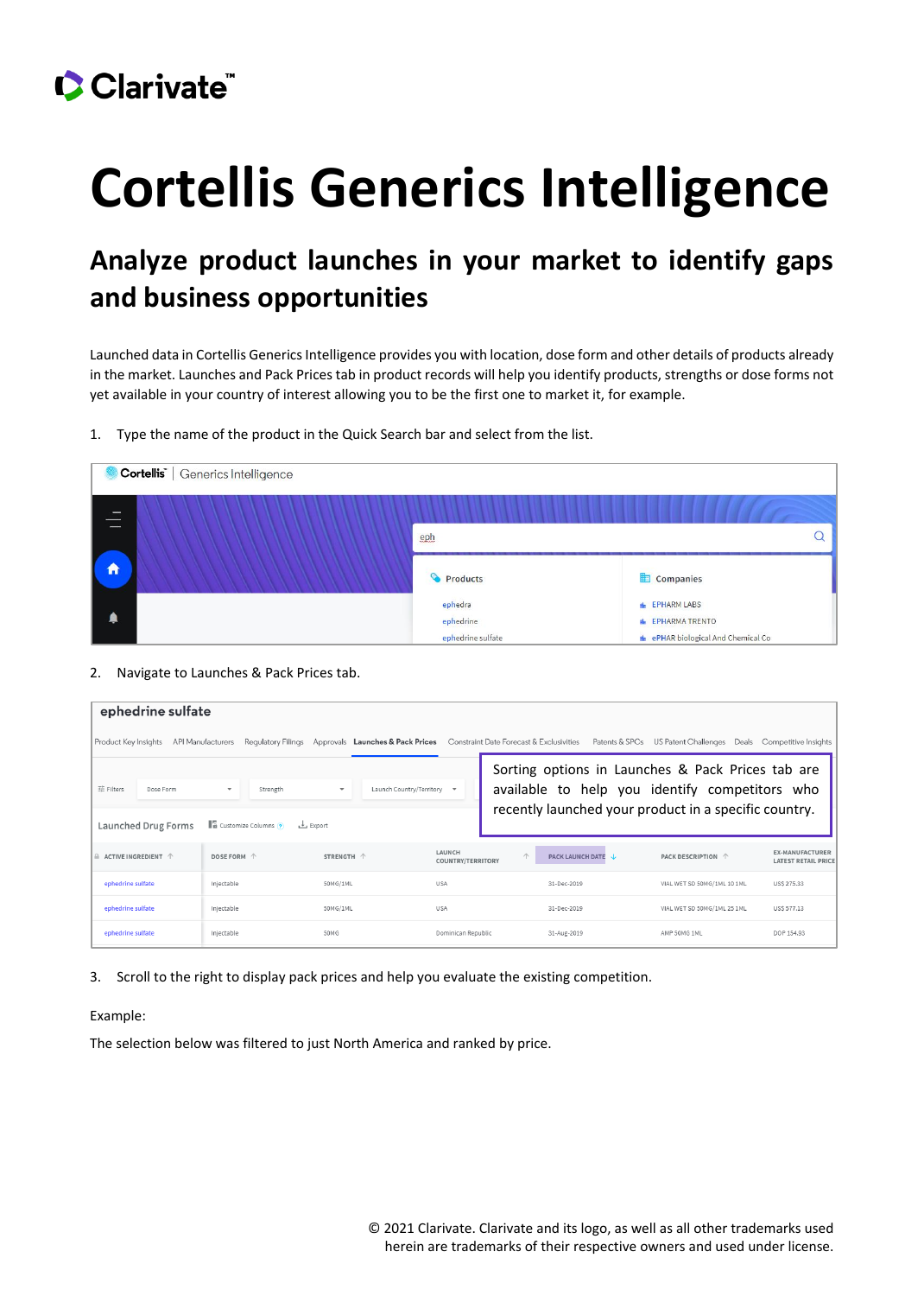## CClarivate

# **Cortellis Generics Intelligence**

### **Analyze product launches in your market to identify gaps and business opportunities**

Launched data in Cortellis Generics Intelligence provides you with location, dose form and other details of products already in the market. Launches and Pack Prices tab in product records will help you identify products, strengths or dose forms not yet available in your country of interest allowing you to be the first one to market it, for example.

1. Type the name of the product in the Quick Search bar and select from the list.

| Cortellis <sup>"</sup>                                      | Generics Intelligence |                                           |                                                                                          |
|-------------------------------------------------------------|-----------------------|-------------------------------------------|------------------------------------------------------------------------------------------|
| $\overline{\phantom{a}}$<br>$-$<br>$\overline{\phantom{a}}$ |                       | eph                                       |                                                                                          |
| $\hat{\mathbf{n}}$                                          |                       | Products                                  | <b>ED</b> Companies                                                                      |
|                                                             |                       | ephedra<br>ephedrine<br>ephedrine sulfate | <b>EPHARM LABS</b><br><b>EPHARMA TRENTO</b><br><b>f</b> ePHAR biological And Chemical Co |

#### 2. Navigate to Launches & Pack Prices tab.

| ephedrine sulfate                                                                                                                                                                                                                                                                                                                                         |             |            |                                    |                                |                             |                                                      |  |  |  |  |
|-----------------------------------------------------------------------------------------------------------------------------------------------------------------------------------------------------------------------------------------------------------------------------------------------------------------------------------------------------------|-------------|------------|------------------------------------|--------------------------------|-----------------------------|------------------------------------------------------|--|--|--|--|
| Regulatory Filings<br>Constraint Date Forecast & Exclusivities<br>Patents & SPCs<br>US Patent Challenges<br>Deals Competitive Insights<br>Product Key Insights<br>API Manufacturers<br>Approvals Launches & Pack Prices                                                                                                                                   |             |            |                                    |                                |                             |                                                      |  |  |  |  |
| Sorting options in Launches & Pack Prices tab are<br>available to help you identify competitors who<br>亞 Filters<br>Launch Country/Territory -<br>Dose Form<br>Strength<br>$\overline{\phantom{a}}$<br>$\overline{\phantom{a}}$<br>recently launched your product in a specific country.<br><b>E</b> Customize Columns<br>Launched Drug Forms<br>上 Export |             |            |                                    |                                |                             |                                                      |  |  |  |  |
| $A$ ACTIVE INGREDIENT $A$                                                                                                                                                                                                                                                                                                                                 | DOSE FORM 个 | STRENGTH 个 | LAUNCH<br><b>COUNTRY/TERRITORY</b> | $\wedge$<br>PACK LAUNCH DATE J | PACK DESCRIPTION 个          | <b>EX-MANUFACTURER</b><br><b>LATEST RETAIL PRICE</b> |  |  |  |  |
| ephedrine sulfate                                                                                                                                                                                                                                                                                                                                         | Injectable  | 50MG/1ML   | <b>USA</b>                         | 31-Dec-2019                    | VIAL WET SD 50MG/1ML 10 1ML | USS 275.33                                           |  |  |  |  |
| ephedrine sulfate                                                                                                                                                                                                                                                                                                                                         | Injectable  | 50MG/1ML   | <b>USA</b>                         | 31-Dec-2019                    | VIAL WET SD 50MG/1ML 25 1ML | USS 577.13                                           |  |  |  |  |
| ephedrine sulfate                                                                                                                                                                                                                                                                                                                                         | Injectable  | 50MG       | Dominican Republic                 | 31-Aug-2019                    | AMP 50MG 1ML                | DOP 154.93                                           |  |  |  |  |

3. Scroll to the right to display pack prices and help you evaluate the existing competition.

#### Example:

The selection below was filtered to just North America and ranked by price.